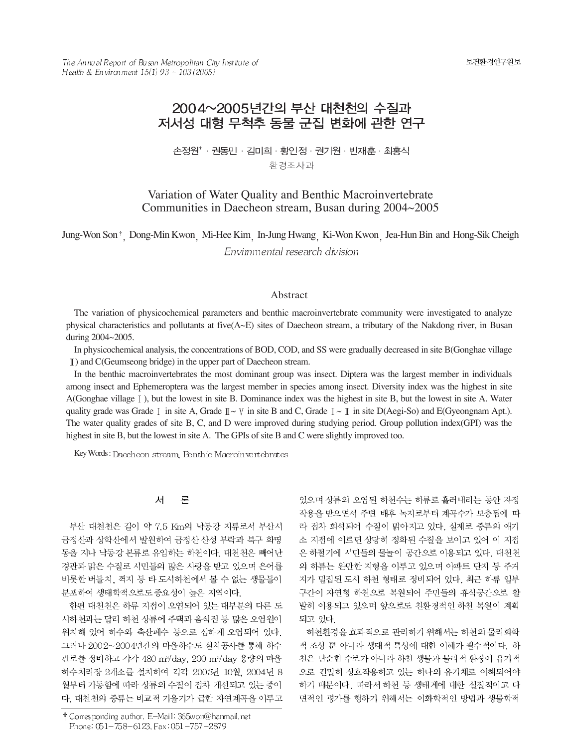The Annual Report of Busan Metropolitan City Institute of Health & Environment  $15(1)$  93 ~  $103(2005)$ 

# 2004~2005년간의 부산 대천천의 수질과 저서성 대형 무척추 동물 군집 변화에 관한 연구

손정원<sup>\*</sup> · 권동민 · 김미희 · 황인정 · 권기원 · 빈재훈 · 최홍식 환경조사과

# Variation of Water Quality and Benthic Macroinvertebrate Communities in Daecheon stream, Busan during 2004~2005

Jung-Won Son<sup>†</sup> Dong-Min Kwon Mi-Hee Kim In-Jung Hwang Ki-Won Kwon Jea-Hun Bin and Hong-Sik Cheigh Envimmental research division

#### Abstract

The variation of physicochemical parameters and benthic macroinvertebrate community were investigated to analyze physical characteristics and pollutants at five( $A \sim E$ ) sites of Daecheon stream, a tributary of the Nakdong river, in Busan during 2004~2005.

In physicochemical analysis, the concentrations of BOD, COD, and SS were gradually decreased in site B(Gonghae village ) and C(Geumseong bridge) in the upper part of Daecheon stream.

In the benthic macroinvertebrates the most dominant group was insect. Diptera was the largest member in individuals among insect and Ephemeroptera was the largest member in species among insect. Diversity index was the highest in site A(Gonghae village ), but the lowest in site B. Dominance index was the highest in site B, but the lowest in site A. Water quality grade was Grade  $\mathbb{I}$  in site A, Grade  $\mathbb{I} \sim \mathbb{V}$  in site B and C, Grade  $\mathbb{I} \sim \mathbb{I}$  in site D(Aegi-So) and E(Gyeongnam Apt.). The water quality grades of site B, C, and D were improved during studying period. Group pollution index(GPI) was the highest in site B, but the lowest in site A. The GPIs of site B and C were slightly improved too.

Key Words: Daecheon stream, Benthic Macroin vertebrates

#### 론 서

부산 대천천은 길이 약 7.5 Km의 낙동강 지류로서 부산시 금정산과 상학산에서 발원하여 금정산 산성 부락과 북구 화명 동을 지나 낙동강 본류로 유입하는 하천이다. 대천천은 빼어난 경관과 맑은 수질로 시민들의 많은 사랑을 받고 있으며 은어를 비롯한 버들치, 꺽지 등 타 도시하천에서 볼 수 없는 생물들이 분포하여 생태학적으로도 중요성이 높은 지역이다.

한편 대천천은 하류 지점이 오염되어 있는 대부분의 다른 도 시하천과는 달리 하천 상류에 주택과 음식점 등 많은 오염원이 위치해 있어 하수와 축산폐수 등으로 심하게 오염되어 있다. 그러나 2002~2004년간의 마을하수도 설치공사를 통해 하수 관로를 정비하고 각각 480 m<sup>3</sup>/day, 200 m<sup>3</sup>/day 용량의 마을 하수처리장 2개소를 설치하여 각각 2003년 10월, 2004년 8 월부터 가동함에 따라 상류의 수질이 점차 개선되고 있는 중이 다. 대천천의 중류는 비교적 기울기가 급한 자연계곡을 이루고

† Corresponding author. E-Mail: 365won@hanmail.net Phone: 051-758-6123, Fax: 051-757-2879

있으며 상류의 오염된 하천수는 하류로 흘러내리는 동안 자정 작용을 받으면서 주변 배후 녹지로부터 계곡수가 보충됨에 따 라 점차 희석되어 수질이 맑아지고 있다. 실제로 중류의 애기 소 지점에 이르면 상당히 정화된 수질을 보이고 있어 이 지점 은 하절기에 시민들의 물놀이 공간으로 이용되고 있다. 대천천 의 하류는 완만한 지형을 이루고 있으며 아파트 단지 등 주거 지가 밀집된 도시 하천 형태로 정비되어 있다. 최근 하류 일부 구간이 자연형 하천으로 복원되어 주민들의 휴식공간으로 활 발히 이용되고 있으며 앞으로도 친환경적인 하천 복원이 계획 되고 있다.

하천환경을 효과적으로 관리하기 위해서는 하천의 물리화학 적 조성 뿐 아니라 생태적 특성에 대한 이해가 필수적이다. 하 천은 단순한 수로가 아니라 하천 생물과 물리적 환경이 유기적 으로 긴밀히 상호작용하고 있는 하나의 유기체로 이해되어야 하기 때문이다. 따라서 하천 등 생태계에 대한 실질적이고 다 면적인 평가를 행하기 위해서는 이화학적인 방법과 생물학적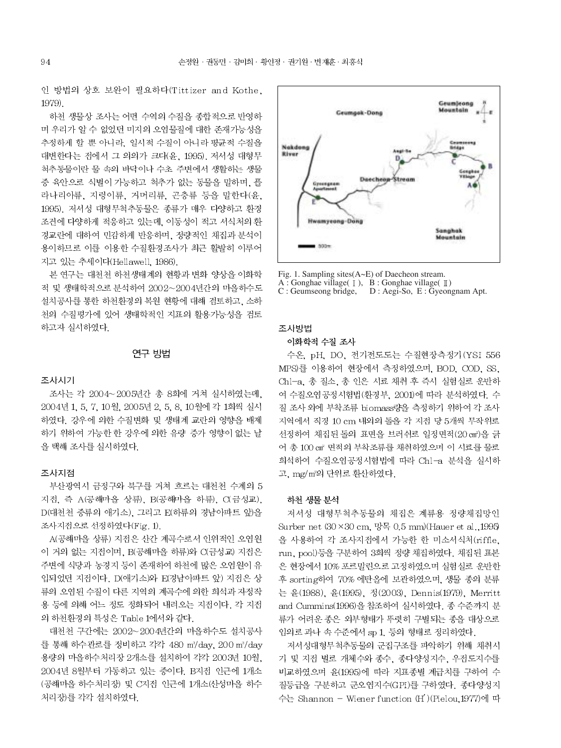인 방법의 상호 보완이 필요하다(Tittizer and Kothe, 1979).

하천 생물상 조사는 어떤 수역의 수질을 종합적으로 반영하 며 우리가 알 수 없었던 미지의 오염물질에 대한 존재가능성을 추정하게 할 뿐 아니라. 일시적 수질이 아니라 평균적 수질을 대변한다는 점에서 그 의의가 크다(윤, 1995), 저서성 대형무 척추동물이란 물 속의 바닥이나 수초 주변에서 생활하는 생물 중 육안으로 식별이 가능하고 척추가 없는 동물을 말하며, 플 라나리아류, 지렁이류, 거머리류, 곤충류 등을 말한다(윤, 1995). 저서성 대형무척추동물은 종류가 매우 다양하고 환경 조건에 다양하게 적응하고 있는데, 이동성이 적고 서식처의 환 경교란에 대하여 민감하게 반응하며, 정량적인 채집과 분석이 용이하므로 이를 이용한 수질환경조사가 최근 활발히 이루어 지고 있는 추세이다(Hellawell, 1986).

본 연구는 대천천 하천생태계의 현황과 변화 양상을 이화학 적 및 생태학적으로 분석하여 2002~2004년간의 마을하수도 설치공사를 통한 하천환경의 복원 현황에 대해 검토하고, 소하 천의 수질평가에 있어 생태학적인 지표의 활용가능성을 검토 하고자 실시하였다.

#### 연구 방법

#### 조사시기

조사는 각 2004~2005년간 총 8회에 거쳐 실시하였는데, 2004년 1, 5, 7, 10월, 2005년 2, 5, 8, 10월에 각 1회씩 실시 하였다. 강우에 의한 수질변화 및 생태계 교란의 영향을 배제 하기 위하여 가능한 한 강우에 의한 유량 증가 영향이 없는 날 을 택해 조사를 실시하였다.

#### 조사지점

부산광역시 금정구와 북구를 거쳐 흐르는 대천천 수계의 5 지접, 즉 A(공해마을 상류), B(공해마을 하류), C(금성교). D(대천천 중류의 애기소), 그리고 E(하류의 경남아파트 앞)을 조사지접으로 선정하였다(Fig. 1).

A(공해마을 상류) 지점은 산간 계곡수로서 인위적인 오염원 이 거의 없는 지점이며, B(공해마을 하류)와 C(금성교) 지점은 주변에 식당과 농경지 등이 존재하여 하천에 많은 오염원이 유 입되었던 지점이다. D(애기소)와 E(경남아파트 앞) 지점은 상 류의 오염된 수질이 다른 지역의 계곡수에 의한 희석과 자정작 용 등에 의해 어느 정도 정화되어 내려오는 지점이다. 각 지점 의 하천환경의 특성은 Table 1에서와 같다.

대천천 구간에는 2002~2004년간의 마을하수도 설치공사 를 통해 하수관로를 정비하고 각각 480 m3/day, 200 m3/day 용량의 마을하수처리장 2개소를 설치하여 각각 2003년 10월, 2004년 8월부터 가동하고 있는 중이다. B지점 인근에 1개소 (공해마을 하수처리장) 및 C지접 인근에 1개소(산성마을 하수 처리장)를 각각 설치하였다.



Fig. 1. Sampling sites  $(A \sim E)$  of Daecheon stream.

A : Gonghae village( $\lceil \ \rceil$ ), B : Gonghae village( $\lceil \ \rceil$ )

 $C:$  Geumseong bridge,  $D:$  Aegi-So,  $E:$  Gyeongnam Apt.

#### 조사방법

#### 이화학적 수질 조사

수온, pH, DO, 전기전도도는 수질현장측정기 (YSI 556 MPS)를 이용하여 현장에서 측정하였으며, BOD, COD, SS, Chl-a, 총 질소, 총 인은 시료 채취 후 즉시 실험실로 운반하 여 수질오염공정시험법(환경부, 2001)에 따라 분석하였다. 수 질 조사 외에 부착조류 biomass량을 측정하기 위하여 각 조사 지역에서 직경 10 cm 내외의 돌을 각 지점 당 5개씩 무작위로 선정하여 채집된 돌의 표면을 브러쉬로 일정면적(20 cm2)을 긁 어 총 100 cm2 면적의 부착조류를 채취하였으며 이 시료를 물로 희석하여 수질오염공정시험법에 따라 Chl-a 분석을 실시하 고, mg/m2의 단위로 환산하였다.

#### 하천 생물 분석

저서성 대형무척추동물의 채집은 계류용 정량채집망인 Surber net  $(30 \times 30 \text{ cm}, 9\frac{12}{10})$  (Hauer et al., 1995) 을 사용하여 각 조사지점에서 가능한 한 미소서식처(riffle, run, pool)등을 구분하여 3회씩 정량 채집하였다. 채집된 표본 은 현장에서 10% 포르말린으로 고정하였으며 실험실로 운반한 후 sorting하여 70% 에탄올에 보관하였으며, 생물 종의 분류 는 윤(1988), 윤(1995), 정(2003), Dennis(1979), Merritt and Cummins(1996)을 참조하여 실시하였다. 종 수준까지 분 류가 어려운 종은 외부형태가 뚜렷히 구별되는 종을 대상으로 임의로 과나 속 수준에서 sp 1. 등의 형태로 정리하였다.

저서성대형무척추동물의 군집구조를 파악하기 위해 채취시 기 및 지점 별로 개체수와 종수, 종다양성지수, 우점도지수를 비교하였으며 윤(1995)에 따라 지표종별 계급치를 구하여 수 질등급을 구분하고 군오염지수(GPI)를 구하였다. 종다양성지 수는 Shannon - Wiener function (H')(Pielou,1977)에 따

94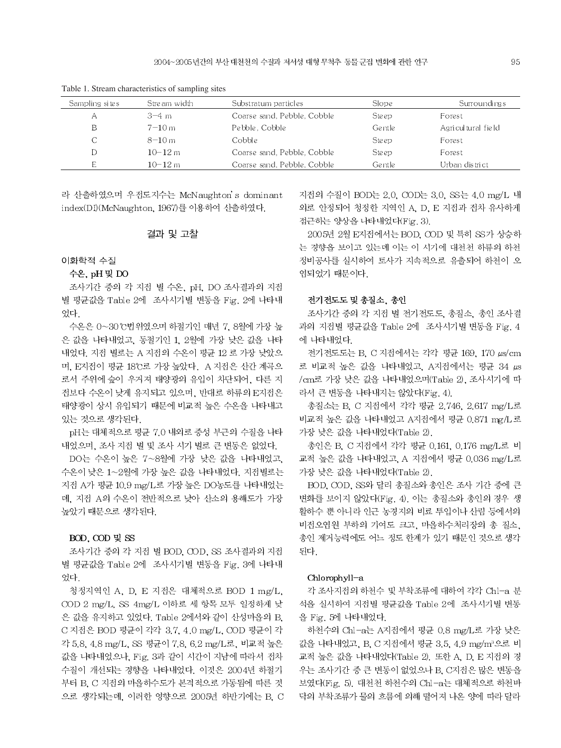| Sampling sites | Stream width | Substratum particles        | Slope        | Surroundings       |
|----------------|--------------|-----------------------------|--------------|--------------------|
| Α              | $3-4$ m      | Coarse sand, Pebble, Cobble | Ste ep       | Forest             |
| В              | $7 - 10m$    | Pebble, Cobble              | Gentle       | Agricultural field |
|                | $8 - 10m$    | Cobble                      | <b>Steep</b> | Forest             |
|                | $10 - 12m$   | Coarse sand, Pebble, Cobble | Ste ep       | Forest             |
|                | $10 - 12$ m  | Coarse sand, Pebble, Cobble | Gentle       | Urban district     |
|                |              |                             |              |                    |

Table 1. Stream characteristics of sampling sites

라 산출하였으며 우점도지수는 McNaughton's dominant index(DI)(McNaughton, 1967)를 이용하여 산출하였다.

#### 결과 및 고찰

#### 이화학적 수질

#### 수온, pH 및 DO

조사기간 중의 각 지점 별 수온, pH, DO 조사결과의 지점 별 평균값을 Table 2에 조사시기별 변동을 Fig. 2에 나타내 었다

수온은 0~30℃번위였으며 하절기인 매년 7,8월에 가장 높 은 값을 나타내었고, 동절기인 1, 2월에 가장 낮은 값을 나타 내었다. 지접 별로는 A 지접의 수온이 평균 12 로 가장 낮았으 며, E지접이 평균 18℃로 가장 높았다. A 지접은 산간 계곡으 로서 주위에 숲이 우거져 태양광의 유입이 차단되어, 다른 지 전보다 수온이 낮게 유지되고 있으며, 반대로 하류의 E지점은 태양광이 상시 유입되기 때문에 비교적 높은 수온을 나타내고 있는 것으로 생각된다.

pH는 대체적으로 평균 7.0 내외로 중성 부근의 수질을 나타 내었으며, 조사 지접 별 및 조사 시기 별로 큰 변동은 없었다.

DO는 수온이 높은 7~8월에 가장 낮은 값을 나타내었고, 수온이 낮은 1~2월에 가장 높은 값을 나타내었다. 지점별로는 지점 A가 평균 10.9 mg/L로 가장 높은 DO농도를 나타내었는 데, 지점 A의 수온이 전반적으로 낮아 산소의 용해도가 가장 높았기 때문으로 생각된다.

#### BOD, COD 및 SS

조사기간 중의 각 지점 별 BOD, COD, SS 조사결과의 지점 별 평균값을 Table 2에 조사시기별 변동을 Fig. 3에 나타내 었다.

청정지역인 A, D, E 지접은 대체적으로 BOD 1 mg/L, COD 2 mg/L, SS 4mg/L 이하로 세 항목 모두 일정하게 낮 은 값을 유지하고 있었다. Table 2에서와 같이 산성마을의 B, C 지접은 BOD 평균이 각각 3.7, 4.0 mg/L, COD 평균이 각 각 5.8, 4.8 mg/L, SS 평균이 7.8, 6.2 mg/L로, 비교적 높은 값을 나타내었으나, Fig. 3과 같이 시간이 지남에 따라서 접차 수질이 개선되는 경향을 나타내었다. 이것은 2004년 하절기 부터 B, C 지점의 마을하수도가 본격적으로 가동됨에 따른 것 으로 생각되는데, 이러한 영향으로 2005년 하반기에는 B. C 지점의 수질이 BOD는 2.0, COD는 3.0, SS는 4.0 mg/L 내 외로 안정되어 청정한 지역인 A, D, E 지점과 점차 유사하게 접근하는 양상을 나타내었다(Fig. 3).

2005년 2월 E지점에서는 BOD. COD 및 특히 SS가 상승하 는 경향을 보이고 있는데 이는 이 시기에 대천천 하류의 하천 정비공사를 실시하여 토사가 지속적으로 유출되어 하천이 오 염되었기 때문이다.

### 전기전도도 및 총질소, 총인

조사기간 중의 각 지점 별 전기전도도, 총질소, 총인 조사결 과의 지점별 평균값을 Table 2에 조사시기별 변동을 Fig. 4 에 나타내었다.

전기전도도는 B. C 지접에서는 각각 평균 169, 170 µs/cm 로 비교적 높은 값을 나타내었고, A지접에서는 평균 34 µs /cm로 가장 낮은 값을 나타내었으며(Table 2), 조사시기에 따 라서 큰 변동을 나타내지는 않았다(Fig. 4).

총질소는 B. C 지점에서 각각 평균 2.746, 2.617 mg/L로 비교적 높은 값을 나타내었고 A지점에서 평균 0.871 mg/L로 가장 낮은 값을 나타내었다(Table 2).

총인은 B. C 지점에서 각각 평균 0.161, 0.176 mg/L로 비 교적 높은 값을 나타내었고, A 지점에서 평균 0.036 mg/L로 가장 낮은 값을 나타내었다(Table 2).

BOD, COD, SS와 달리 총질소와 총인은 조사 기간 중에 큰 변화를 보이지 않았다(Fig. 4). 이는 총질소와 총인의 경우 생 활하수 뿐 아니라 인근 농경지의 비료 투입이나 산림 등에서의 비전오염원 부하의 기여도 크고, 마을하수처리장의 총 질소, 총인 제거능력에도 어느 정도 한계가 있기 때문인 것으로 생각 된다.

#### Chlorophyll-a

각 조사지점의 하천수 및 부착조류에 대하여 각각 Chl-a 분 석을 실시하여 지점별 평균값을 Table 2에 조사시기별 변동 을 Fig. 5에 나타내었다.

하천수의 Chl-a는 A지점에서 평균 0.8 mg/L로 가장 낮은 값을 나타내었고, B, C 지점에서 평균 3.5, 4.9 mg/m<sup>3</sup>으로 비 교적 높은 값을 나타내었다(Table 2). 또한 A, D, E 지점의 경 우는 조사기간 중 큰 변동이 없었으나 B, C지점은 많은 변동을 보였다(Fig. 5). 대천천 하천수의 Chl-a는 대체적으로 하천바 닥의 부착조류가 물의 흐름에 의해 떨어져 나온 양에 따라 달라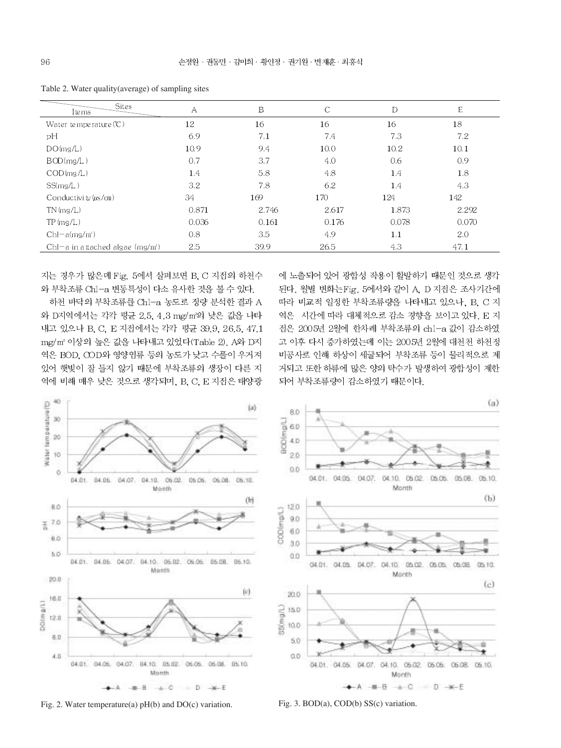| Sites<br>Ite ms                      | А     | Β     | C     | D     | E     |
|--------------------------------------|-------|-------|-------|-------|-------|
| Water temperature $(C)$              | 12    | 16    | 16    | 16    | 18    |
| рH                                   | 6.9   | 7.1   | 7.4   | 7.3   | 7.2   |
| DO(mg/L)                             | 10.9  | 9.4   | 10.0  | 10.2  | 10.1  |
| BOD(mg/L)                            | 0.7   | 3.7   | 4.0   | 0.6   | 0.9   |
| COD(mg/L)                            | 1.4   | 5.8   | 4.8   | 1.4   | 1.8   |
| SS(mg/L)                             | 3.2   | 7.8   | 6.2   | 1.4   | 4.3   |
| Conductivity $(\mu s/cm)$            | 34    | 169   | 170   | 124   | 142   |
| $TN$ (mg/L)                          | 0.871 | 2.746 | 2.617 | 1.873 | 2.292 |
| TP(mg/L)                             | 0.036 | 0.161 | 0.176 | 0.078 | 0.070 |
| $Chl-a(mg/mi)$                       | 0.8   | 3.5   | 4.9   | 1.1   | 2.0   |
| Chl $-a$ in attached algae $(mg/m2)$ | 2.5   | 39.9  | 26.5  | 4.3   | 47.1  |

Table 2. Water quality(average) of sampling sites

지는 경우가 많은데 Fig. 5에서 살펴보면 B. C 지점의 하천수 와 부착조류 Chl-a 변동특성이 다소 유사한 것을 볼 수 있다.

하천 바닥의 부착조류를 Chl-a 농도로 정량 분석한 결과 A 와 D지역에서는 각각 평균 2.5, 4.3 mg/m2의 낮은 값을 나타 내고 있으나 B. C. E 지접에서는 각각 평균 39.9, 26.5, 47.1 mg/m2 이상의 높은 값을 나타내고 있었다(Table 2), A와 D지 역은 BOD, COD와 영양염류 등의 농도가 낮고 수풀이 우거져 있어 햇빛이 잘 들지 않기 때문에 부착조류의 생장이 다른 지 역에 비해 매우 낮은 것으로 생각되며, B, C, E 지점은 태양광

에 노출되어 있어 광합성 작용이 활발하기 때문인 것으로 생각 된다. 월별 변화는Fig. 5에서와 같이 A. D 지점은 조사기간에 따라 비교적 일정한 부착조류량을 나타내고 있으나, B. C 지 역은 시간에 따라 대체적으로 감소 경향을 보이고 있다. E 지 전은 2005년 2월에 한차례 부착조류의 chl-a 값이 감소하였 고 이후 다시 증가하였는데 이는 2005년 2월에 대천천 하천정 비공사로 인해 하상이 세굴되어 부착조류 등이 물리적으로 제 거되고 또한 하류에 많은 양의 탁수가 발생하여 광합성이 제한 되어 부착조류량이 감소하였기 때문이다.



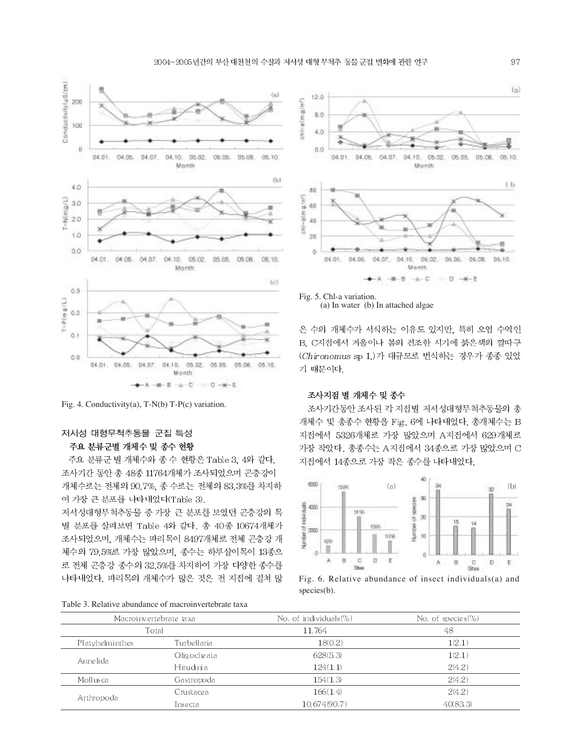

Fig. 4. Conductivity(a), T-N(b) T-P(c) variation.

# 저서성 대형무척추동물 군집 특성 주요 분류군별 개체수 및 종수 현황

주요 분류군 별 개체수와 종 수 현황은 Table 3, 4와 같다. 조사기간 동안 총 48종 11764개체가 조사되었으며 곤충강이 개체수로는 전체의 90.7%, 종 수로는 전체의 83.3%를 차지하 여 가장 큰 분포를 나타내었다(Table 3).

저서성대형무척추동물 중 가장 큰 분포를 보였던 곤충강의 목 별 분포를 살펴보면 Table 4와 같다. 총 40종 10674개체가 조사되었으며, 개체수는 파리목이 8497개체로 전체 곤충강 개 체수의 79.5%로 가장 많았으며, 종수는 하루살이목이 13종으 로 전체 곤충강 종수의 32.5%를 차지하여 가장 다양한 종수를 나타내었다. 파리목의 개체수가 많은 것은 전 지점에 걸쳐 많



Fig. 5. Chl-a variation. (a) In water (b) In attached algae

은 수의 개체수가 서식하는 이유도 있지만, 특히 오염 수역인 B. C지점에서 겨울이나 봄의 건조한 시기에 붉은색의 깔따구 (Chironomus sp 1.)가 대규모로 번식하는 경우가 종종 있었 기 때문이다.

#### 조사지점 별 개체수 및 종수

조사기간동안 조사된 각 지점별 저서성대형무척추동물의 총 개체수 및 총종수 현황을 Fig. 6에 나타내었다. 총개체수는 B 지점에서 5326개체로 가장 많았으며 A지점에서 629개체로 가장 작았다. 총종수는 A지점에서 34종으로 가장 많았으며 C 지점에서 14종으로 가장 작은 종수를 나타내었다.



Fig. 6. Relative abundance of insect individuals(a) and species(b).

Table 3. Relative abundance of macroinvertebrate taxa

|                 | Macroinvertebrate taxa | No. of individuals (%) | No. of species $(\%)$ |
|-----------------|------------------------|------------------------|-----------------------|
|                 | Total                  | 11.764<br>48           |                       |
| Platyhelminthes | Turbellaria            | 18(0.2)                | 1(2.1)                |
| Anne lida       | Olig oche ata          | 628(5,3)               | 1(2.1)                |
|                 | Hirudinia              | 124(1,1)               | 2(4.2)                |
| Mollusca        | Gastropoda             | 154(1,3)               | 2(4.2)                |
|                 | Crustacea              | 166(1.4)               | 2(4.2)                |
| Arthropoda      | Insecta                | 10,674(90.7)           | 40(83,3)              |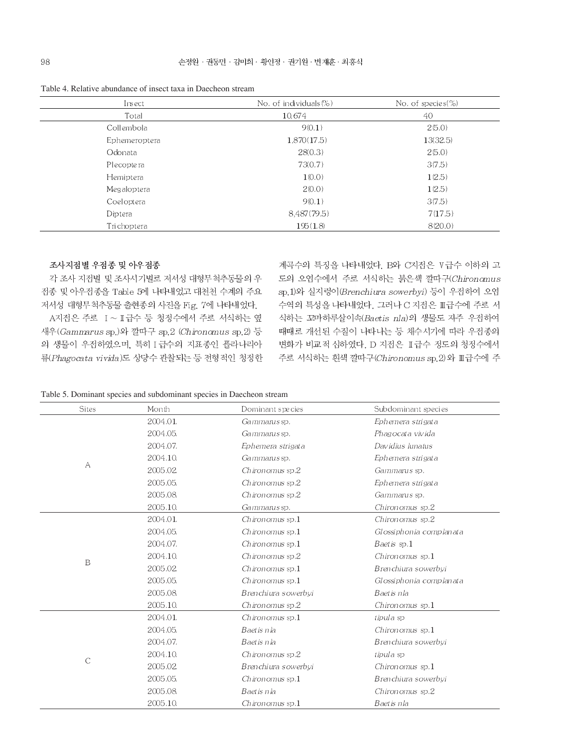Table 4. Relative abundance of insect taxa in Daecheon stream

| Insect        | No. of individuals (%) | No. of species $(\%)$ |
|---------------|------------------------|-----------------------|
| Total         | 10,674                 | 40                    |
| Collembola    | 9(0.1)                 | 2(5.0)                |
| Ephemeroptera | 1,870(17.5)            | 13(32.5)              |
| Odonata       | 28(0.3)                | 2(5.0)                |
| Plecoptera    | 73(0.7)                | 3(7.5)                |
| Hemiptera     | 1(0.0)                 | 1(2.5)                |
| Megaloptera   | 2(0.0)                 | 1(2.5)                |
| Coeloptera    | 9(0.1)                 | 3(7.5)                |
| Diptera       | 8,487(79.5)            | 7(17.5)               |
| Trichoptera   | 195(1.8)               | 8(20.0)               |

### 조사지점별 우점종 및 아우점종

각 조사 지점별 및 조사시기별로 저서성 대형무척추동물의 우 전종 및 아우전종을 Table 5에 나타내었고 대천천 수계의 주요 저서성 대형무척추동물 출현종의 사진을 Fig. 7에 나타내었다.

A지점은 주로 I~I급수 등 청정수에서 주로 서식하는 옆 새우(Gammarus sp.)와 깔따구 sp.2 (Chironomus sp.2) 등 의 생물이 우점하였으며, 특히 Ⅰ 급수의 지표종인 플라나리아 류(Phagocata vivida)도 상당수 관찰되는 등 전형적인 청정한 계곡수의 특징을 나타내었다. B와 C지점은 V급수 이하의 고 도의 오염수에서 주로 서식하는 붉은색 깔따구(Chironomus sp.1)와 실지렁이(Brenchiura sowerbyi) 등이 우점하여 오염 수역의 특성을 나타내었다. 그러나 C 지점은 Ⅲ급수에 주로 서 식하는 꼬마하루살이속(Baetis nla)의 생물도 자주 우점하여 때때로 개선된 수질이 나타나는 등 채수시기에 따라 우전종의 변화가 비교적 심하였다. D 지점은 II급수 정도의 청정수에서 주로 서식하는 흰색 깔따구(Chironomus sp.2) 와 Ⅲ급수에 주

| Table 5. Dominant species and subdominant species in Daecheon stream |  |  |  |  |
|----------------------------------------------------------------------|--|--|--|--|
|----------------------------------------------------------------------|--|--|--|--|

| <b>Sites</b> | Month    | Dominant species     | Subdominant species     |
|--------------|----------|----------------------|-------------------------|
|              | 2004.01. | Gammarus sp.         | Ephemera strigata       |
|              | 2004.05. | Gammarus sp.         | Phagocata vivida        |
|              | 2004.07. | Ephemera strigata    | Davidius Iunatus        |
|              | 2004.10. | Gammanus sp.         | Ephemera strigata       |
| А            | 2005.02. | Chironomus sp.2      | Gammarus sp.            |
|              | 2005.05. | Chironomus sp.2      | Ephemera strigata       |
|              | 2005.08. | Chironomus sp.2      | Gammarus sp.            |
|              | 2005.10. | Gammarus sp.         | Chironomus sp.2         |
|              | 2004.01. | $Chironomus$ sp. $1$ | Chironomus sp.2         |
|              | 2004.05. | Chironomus sp.1      | Glossiphonia complanata |
|              | 2004.07. | Chironomus sp.1      | Baet is sp.1            |
|              | 2004.10. | Chironomus sp.2      | Chironomus $sp.1$       |
| $\, {\bf B}$ | 2005.02. | $Chironomus$ sp. $1$ | Brenchiura sowerbyi     |
|              | 2005.05. | Chironomus sp.1      | Glossiphonia complanata |
|              | 2005.08. | Brenchiura sowerbyi  | Baetis nla              |
|              | 2005.10. | Chironomus sp.2      | Chironomus sp.1         |
|              | 2004.01. | $Chironomus$ sp.1    | tipula sp               |
|              | 2004.05. | Baetis nla           | $Chironomus$ sp.1       |
|              | 2004.07. | Baetis nia           | Brenchiura sowerbyi     |
| $\mathsf C$  | 2004.10. | Chironomus sp.2      | tipula sp               |
|              | 2005.02. | Brenchiura sowerbyi  | Chironomus $sp.1$       |
|              | 2005.05. | Chironomus sp.1      | Brenchiura sowerbvi     |
|              | 2005.08. | Baetis nla           | Chironomus sp.2         |
|              | 2005.10. | $Chironomus$ sp. $1$ | Baetis nla              |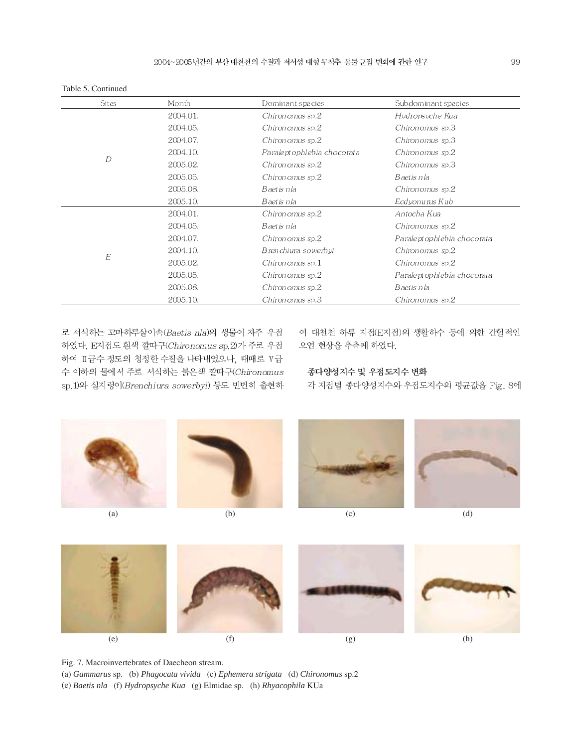| <b>Sites</b> | Month    | Dominant species           | Subdominant species        |
|--------------|----------|----------------------------|----------------------------|
|              | 2004.01. | Chiron omus sp.2           | Hydropsyche Kua            |
|              | 2004.05. | Chiron omus sp.2           | Chiron omus sp.3           |
|              | 2004.07. | Chiron omus sp.2           | Chiron omus sp.3           |
|              | 2004.10. | Paraleptophlebia chocorata | Chiron omus sp.2           |
| D            | 2005.02. | Chiron omus sp.2           | Chiron omus sp.3           |
|              | 2005.05. | Chiron omus sp.2           | Baetis nla                 |
|              | 2005.08. | Baetis nla                 | Chiron omus sp.2           |
|              | 2005.10. | Baetis nla                 | Ecdvonurus Kub             |
|              | 2004.01. | Chiron omus sp.2           | Antocha Kua                |
|              | 2004.05. | Baetis nla                 | Chiron omus sp.2           |
|              | 2004.07. | Chiron omus sp.2           | Paraleptophlebia chocorata |
|              | 2004.10. | Brenchiura sowerbyi        | Chiron omus sp.2           |
| E            | 2005.02. | Chiron omus sp.1           | Chiron omus sp.2           |
|              | 2005.05. | Chiron omus sp.2           | Paraleptophlebia chocorata |
|              | 2005.08. | Chiron omus sp.2           | Baetis nla                 |
|              | 2005.10. | Chiron omus sp.3           | Chiron omus sp.2           |

Table 5. Continued

로 서식하는 꼬마하루살이속(Baetis nla)의 생물이 자주 우점 하였다. E지점도 흰색 깔따구(Chironomus sp.2)가 주로 우점 하여 II급수 정도의 청정한 수질을 나타내었으나, 때때로 V급 수 이하의 물에서 주로 서식하는 붉은색 깔따구(Chironomus sp.1)와 실지렁이(Brenchiura sowerbyi) 등도 빈번히 출현하

여 대천천 하류 지점(E지점)의 생활하수 등에 의한 간헐적인 오염 현상을 추측케 하였다.

#### 종다양성지수 및 우점도지수 변화

각 지점별 종다양성지수와 우점도지수의 평균값을 Fig. 8에





Fig. 7. Macroinvertebrates of Daecheon stream.

(a) *Gammarus* sp. (b) *Phagocata vivida* (c) *Ephemera strigata* (d) *Chironomus* sp.2 (e) *Baetis nla* (f) *Hydropsyche Kua* (g) Elmidae sp. (h) *Rhyacophila* KUa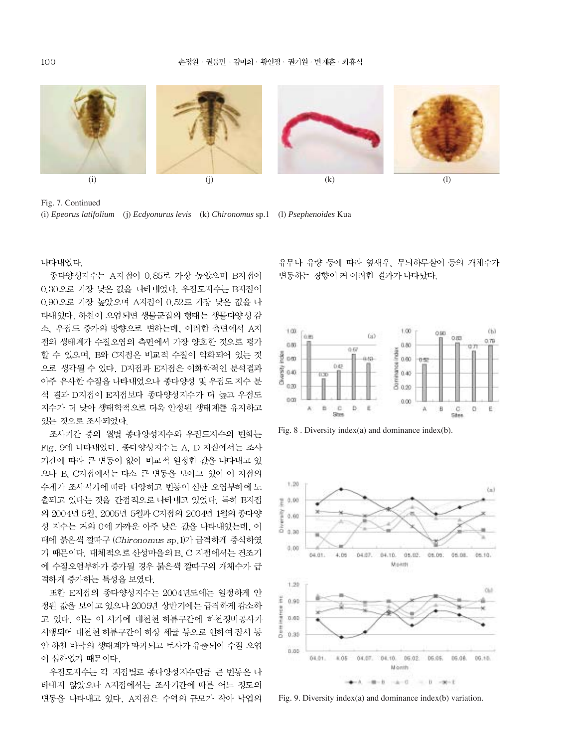









Fig. 7. Continued (i) *Epeorus latifolium* (j) *Ecdyonurus levis* (k) *Chironomus* sp.1 (l) *Psephenoides* Kua

나타내었다

종다양성지수는 A지접이 0.85로 가장 높았으며 B지접이 0.30으로 가장 낮은 값을 나타내었다. 우점도지수는 B지점이 0.90으로 가장 높았으며 A지점이 0.52로 가장 낮은 값을 나 타내었다. 하천이 오염되면 생물군집의 형태는 생물다양성 감 소 우점도 증가의 방향으로 변하는데, 이러한 측면에서 A지 전의 생태계가 수질오염의 측면에서 가장 양호한 것으로 평가 할 수 있으며, B와 C지점은 비교적 수질이 악화되어 있는 것 으로 생각될 수 있다. D지점과 E지점은 이화학적인 분석결과 아주 유사한 수질을 나타내었으나 종다양성 및 우점도 지수 분 석 결과 D지점이 E지접보다 종다양성지수가 더 높고 우접도 지수가 더 낮아 생태학적으로 더욱 안정된 생태계를 유지하고 있는 것으로 조사되었다.

조사기간 중의 월별 종다양성지수와 우점도지수의 변화는 Fig. 9에 나타내었다. 종다양성지수는 A, D 지점에서는 조사 기간에 따라 큰 변동이 없이 비교적 일정한 값을 나타내고 있 으나 B. C지점에서는 다소 큰 변동을 보이고 있어 이 지점의 수계가 조사시기에 따라 다양하고 변동이 심한 오염부하에 노 출되고 있다는 것을 간접적으로 나타내고 있었다. 특히 B지접 의 2004년 5월, 2005년 5월과 C지점의 2004년 1월의 종다양 성 지수는 거의 0에 가까운 아주 낮은 값을 나타내었는데, 이 때에 붉은색 깔따구 (Chironomus sp.1)가 급격하게 증식하였 기 때문이다. 대체적으로 산성마을의 B, C 지점에서는 건조기 에 수질오염부하가 증가될 경우 붉은색 깔따구의 개체수가 급 격하게 증가하는 특성을 보였다.

또한 E지접의 종다양성지수는 2004년도에는 일정하게 안 정된 값을 보이고 있으나 2005년 상반기에는 급격하게 감소하 고 있다. 이는 이 시기에 대천천 하류구간에 하천정비공사가 시행되어 대천천 하류구간이 하상 세굴 등으로 인하여 잠시 동 안 하천 바닥의 생태계가 파괴되고 토사가 유출되어 수질 오염 이 심하였기 때문이다.

우전도지수는 각 지전별로 종다양성지수만큼 큰 변동은 나 타내지 않았으나 A지점에서는 조사기간에 따른 어느 정도의 변동을 나타내고 있다. A지점은 수역의 규모가 작아 낙엽의

유무나 유량 등에 따라 옆새우. 무늬하루살이 등의 개체수가 변동하는 경향이 커 이러한 결과가 나타났다.



Fig. 8 . Diversity index(a) and dominance index(b).



Fig. 9. Diversity index(a) and dominance index(b) variation.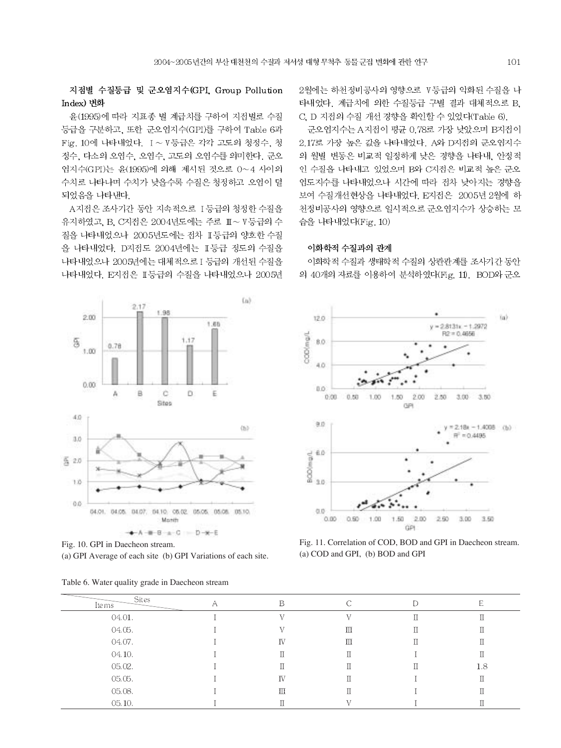지점별 수질등급 및 군오염지수(GPI Group Pollution Index) 변화

윤(1995)에 따라 지표종 별 계급치를 구하여 지점별로 수질 등급을 구분하고, 또한 군오염지수(GPI)를 구하여 Table 6과 Fig. 10에 나타내었다. I~V등급은 각각 고도의 청정수, 청 정수, 다소의 오염수, 오염수, 고도의 오염수를 의미한다. 군오 염지수(GPI)는 윤(1995)에 의해 제시된 것으로 0~4 사이의 수치로 나타나며 수치가 낮을수록 수질은 청정하고 오염이 덜 되었음을 나타낸다.

A지점은 조사기간 동안 지속적으로 1등급의 청정한 수질을 유지하였고, B. C지점은 2004년도에는 주로 Ⅲ~V등급의 수 질을 나타내었으나 2005년도에는 전차 표등급의 양호한 수질 을 나타내었다. D지점도 2004년에는 II등급 정도의 수질을 나타내었으나 2005년에는 대체적으로 I 등급의 개선된 수질을 나타내었다. E지접은 II등급의 수질을 나타내었으나 2005년

2월에는 하천정비공사의 영향으로 V등급의 악화된 수질을 나 타내었다. 계급치에 의한 수질등급 구별 결과 대체적으로 B. C. D 지접의 수질 개선 경향을 확인할 수 있었다(Table 6).

군오염지수는 A지점이 평균 0.78로 가장 낮았으며 B지점이 2.17로 가장 높은 값을 나타내었다. A와 D지점의 군오염지수 의 월별 변동은 비교적 일정하게 낮은 경향을 나타내, 안정적 인 수질을 나타내고 있었으며 B와 C지점은 비교적 높은 군오 염도지수를 나타내었으나 시간에 따라 접차 낮아지는 경향을 보여 수질개선현상을 나타내었다. E지점은 2005년 2월에 하 천정비공사의 영향으로 일시적으로 군오염지수가 상승하는 모 습을 나타내었다(Fig. 10)

#### 이화학적 수질과의 관계

이화학적 수질과 생태학적 수질의 상관관계를 조사기간 동안 의 40개의 자료를 이용하여 분석하였다(Fig. 11). BOD와 군오



Fig. 10. GPI in Daecheon stream. (a) GPI Average of each site (b) GPI Variations of each site.

|  |  | Table 6. Water quality grade in Daecheon stream |
|--|--|-------------------------------------------------|
|--|--|-------------------------------------------------|



Fig. 11. Correlation of COD, BOD and GPI in Daecheon stream. (a) COD and GPI, (b) BOD and GPI

| Sites<br>Ite ms | ∩ | D  |  | E   |
|-----------------|---|----|--|-----|
| 04.01.          |   |    |  |     |
| 04.05.          |   |    |  |     |
| 04.07.          |   | IV |  |     |
| 04.10.          |   |    |  |     |
| 05.02.          |   |    |  | 1.8 |
| 05.05.          |   | IV |  |     |
| 05.08.          |   | Ш  |  |     |
| 05.10.          |   |    |  |     |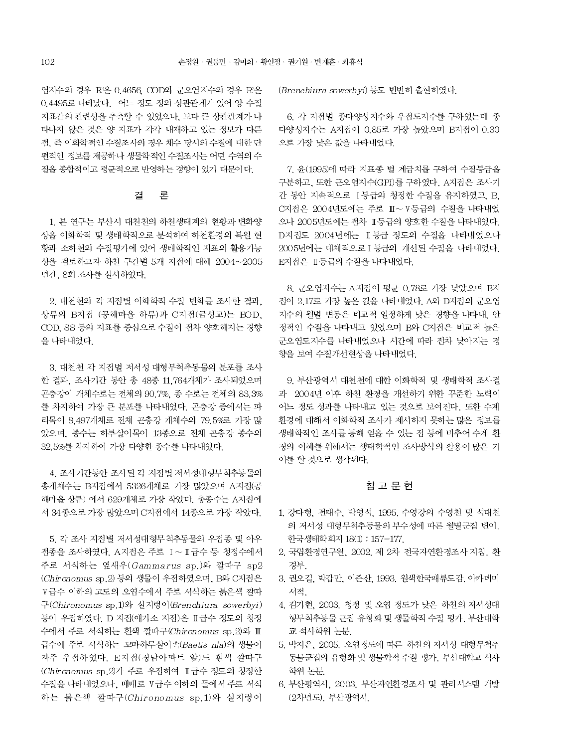염지수의 경우 Rº은 0.4656 COD와 군오염지수의 경우 Rº은 0.4495로 나타났다. 어느 정도 정의 상관관계가 있어 양 수질 지표간의 관련성을 추측할 수 있었으나, 보다 큰 상관관계가 나 타나지 않은 것은 양 지표가 각각 내재하고 있는 정보가 다른 전. 즉 이화학적인 수질조사의 경우 채수 당시의 수질에 대한 단 편적인 정보를 제공하나 생물학적인 수질조사는 어떤 수역의 수 질을 종합적이고 평균적으로 반영하는 경향이 있기 때문이다.

#### 결 론

1. 본 연구는 부산시 대천천의 하천생태계의 현황과 변화양 상을 이화학적 및 생태학적으로 분석하여 하천환경의 복원 현 황과 소하천의 수질평가에 있어 생태학적인 지표의 활용가능 성을 검토하고자 하천 구간별 5개 지점에 대해 2004~2005 년간, 8회 조사를 실시하였다.

2. 대천천의 각 지점별 이화학적 수질 변화를 조사한 결과, 상류의 B지점 (공해마을 하류)과 C지점(금성교)는 BOD. COD, SS 등의 지표를 중심으로 수질이 접차 양호해지는 경향 을 나타내었다.

3. 대천천 각 지점별 저서성 대형무척추동물의 분포를 조사 한 결과, 조사기간 동안 총 48종 11,764개체가 조사되었으며 곤충강이 개체수로는 전체의 90.7%. 종 수로는 전체의 83.3% 를 차지하여 가장 큰 분포를 나타내었다. 곤충강 중에서는 파 리목이 8,497개체로 전체 곤충강 개체수의 79.5%로 가장 많 았으며, 종수는 하루살이목이 13종으로 전체 곤충강 종수의 32.5%를 차지하여 가장 다양한 종수를 나타내었다.

4. 조사기간동안 조사된 각 지점별 저서성대형무척추동물의 총개체수는 B지점에서 5326개체로 가장 많았으며 A지점(공 해마을 상류) 에서 629개체로 가장 작았다. 총종수는 A지점에 서 34종으로 가장 많았으며 C지점에서 14종으로 가장 작았다.

5. 각 조사 지점별 저서성대형무척추동물의 우점종 및 아우 전종을 조사하였다. A지점은 주로 I~ I급수 등 청정수에서 주로 서식하는 옆새우 (Gammarus sp.)와 깔따구 sp2 (Chironomus sp.2) 등의 생물이 우점하였으며, B와 C지점은 Ⅴ급수 이하의 고도의 오염수에서 주로 서식하는 붉은색 깔따 구(Chironomus sp.1)와 실지렁이(Brenchiura sowerbyi) 등이 우점하였다. D 지점(애기소 지점)은 II급수 정도의 청정 수에서 주로 서식하는 흰색 깔따구(Chironomus sp.2)와 Ⅲ 급수에 주로 서식하는 꼬마하루살이속(Baetis nla)의 생물이 자주 우점하였다. E지점(경남아파트 앞)도 흰색 깔따구 (Chironomus sp.2)가 주로 우전하여 표급수 정도의 청정한 수질을 나타내었으나, 때때로 V급수 이하의 물에서 주로 서식 하는 붉은색 깔따구 (Chironomus sp.1)와 실지렁이 (Brenchiura sowerbyi) 등도 빈번히 출현하였다.

6. 각 지점별 종다양성지수와 우점도지수를 구하였는데 종 다양성지수는 A지점이 0.85로 가장 높았으며 B지점이 0.30 으로 가장 낮은 값을 나타내었다.

7. 윤(1995)에 따라 지표종 별 계급치를 구하여 수질등급을 구분하고, 또한 군오염지수(GPI)를 구하였다. A지점은 조사기 간 동안 지속적으로 I 등급의 청정한 수질을 유지하였고, B, C지점은 2004년도에는 주로 Ⅲ~V등급의 수질을 나타내었 으나 2005년도에는 전차 Ⅱ등급의 양호한 수질을 나타내었다. D지접도 2004년에는 I 등급 정도의 수질을 나타내었으나 2005년에는 대체적으로 I 등급의 개선된 수질을 나타내었다. E지점은 Ⅱ등급의 수질을 나타내었다.

8. 군오염지수는 A지점이 평균 0.78로 가장 낮았으며 B지 접이 2.17로 가장 높은 값을 나타내었다. A와 D지점의 군오염 지수의 월별 변동은 비교적 일정하게 낮은 경향을 나타내. 안 정적인 수질을 나타내고 있었으며 B와 C지점은 비교적 높은 군오염도지수를 나타내었으나 시간에 따라 전차 낮아지는 경 향을 보여 수질개선현상을 나타내었다.

9. 부산광역시 대천천에 대한 이화학적 및 생태학적 조사결 과 2004년 이후 하천 환경을 개선하기 위한 꾸준한 노력이 어느 정도 성과를 나타내고 있는 것으로 보여진다. 또한 수계 환경에 대해서 이화학적 조사가 제시하지 못하는 많은 정보를 생태학적인 조사를 통해 얻을 수 있는 점 등에 비추어 수계 환 경의 이해를 위해서는 생태학적인 조사방식의 활용이 많은 기 여를 할 것으로 생각된다.

## 참 고 문 헌

- 1. 강다형, 전태수, 박영석, 1995, 수영강의 수영천 및 석대천 의 저서성 대형무척추동물의 부수성에 따른 월별군집 변이. 한국생태학회지 18(1): 157-177.
- 2. 국립환경연구원, 2002. 제 2차 전국자연환경조사 지침, 환 경부.
- 3. 권오길, 박갑만, 이준산, 1993. 원색한국패류도감. 아카데미 서적
- 4. 김기현, 2003. 청정 및 오염 정도가 낮은 하천의 저서성대 형무척추동물 군집 유형화 및 생물학적 수질 평가, 부산대학 교 석사학위 논문
- 5. 박지은, 2005. 오염정도에 따른 하천의 저서성 대형무척추 동물군집의 유형화 및 생물학적 수질 평가. 부산대학교 석사 학위 논문
- 6. 부산광역시, 2003. 부산자연환경조사 및 관리시스템 개발 (2차년도), 부산광역시,